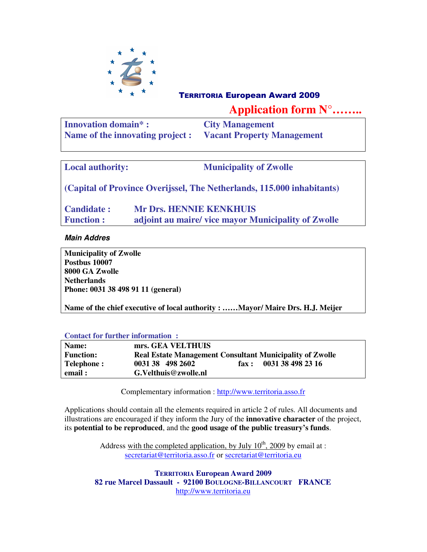

# <sup>T</sup>ERRITORIA European Award 2009

**Application form N°……..** 

| <b>Innovation domain*:</b>       | <b>City Management</b>            |
|----------------------------------|-----------------------------------|
| Name of the innovating project : | <b>Vacant Property Management</b> |

| <b>Local authority:</b>                                                | <b>Municipality of Zwolle</b>                                                        |  |  |  |
|------------------------------------------------------------------------|--------------------------------------------------------------------------------------|--|--|--|
| (Capital of Province Overijssel, The Netherlands, 115.000 inhabitants) |                                                                                      |  |  |  |
| <b>Candidate:</b><br><b>Function:</b>                                  | <b>Mr Drs. HENNIE KENKHUIS</b><br>adjoint au maire/vice mayor Municipality of Zwolle |  |  |  |

**Main Addres** 

**Municipality of Zwolle Postbus 10007 8000 GA Zwolle Netherlands Phone: 0031 38 498 91 11 (general)** 

**Name of the chief executive of local authority : ……Mayor/ Maire Drs. H.J. Meijer** 

#### **Contact for further information :**

| Name:             | mrs. GEA VELTHUIS                                               |       |                   |
|-------------------|-----------------------------------------------------------------|-------|-------------------|
| <b>Function:</b>  | <b>Real Estate Management Consultant Municipality of Zwolle</b> |       |                   |
| <b>Telephone:</b> | 0031 38 498 2602                                                | fax : | 0031 38 498 23 16 |
| email:            | G.Velthuis@zwolle.nl                                            |       |                   |

Complementary information : http://www.territoria.asso.fr

Applications should contain all the elements required in article 2 of rules. All documents and illustrations are encouraged if they inform the Jury of the **innovative character** of the project, its **potential to be reproduced**, and the **good usage of the public treasury's funds**.

> Address with the completed application, by July  $10^{th}$ , 2009 by email at : secretariat@territoria.asso.fr or secretariat@territoria.eu

**TERRITORIA European Award 2009 82 rue Marcel Dassault - 92100 BOULOGNE-BILLANCOURT FRANCE**  http://www.territoria.eu